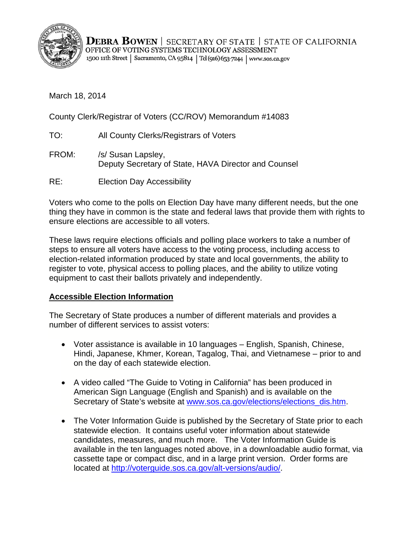

**DEBRA BOWEN** | SECRETARY OF STATE | STATE OF CALIFORNIA OFFICE OF VOTING SYSTEMS TECHNOLOGY ASSESSMENT 1500 11th Street | Sacramento, CA 95814 | Tel(916) 653-7244 | www.sos.ca.gov

March 18, 2014

County Clerk/Registrar of Voters (CC/ROV) Memorandum #14083

- TO: All County Clerks/Registrars of Voters
- FROM: /s/ Susan Lapsley, Deputy Secretary of State, HAVA Director and Counsel
- RE: Election Day Accessibility

Voters who come to the polls on Election Day have many different needs, but the one thing they have in common is the state and federal laws that provide them with rights to ensure elections are accessible to all voters.

These laws require elections officials and polling place workers to take a number of steps to ensure all voters have access to the voting process, including access to election-related information produced by state and local governments, the ability to register to vote, physical access to polling places, and the ability to utilize voting equipment to cast their ballots privately and independently.

# **Accessible Election Information**

The Secretary of State produces a number of different materials and provides a number of different services to assist voters:

- Voter assistance is available in 10 languages English, Spanish, Chinese, Hindi, Japanese, Khmer, Korean, Tagalog, Thai, and Vietnamese – prior to and on the day of each statewide election.
- A video called "The Guide to Voting in California" has been produced in American Sign Language (English and Spanish) and is available on the Secretary of State's website at www.sos.ca.gov/elections/elections\_dis.htm.
- The Voter Information Guide is published by the Secretary of State prior to each statewide election. It contains useful voter information about statewide candidates, measures, and much more. The Voter Information Guide is available in the ten languages noted above, in a downloadable audio format, via cassette tape or compact disc, and in a large print version. Order forms are located at http://voterguide.sos.ca.gov/alt-versions/audio/.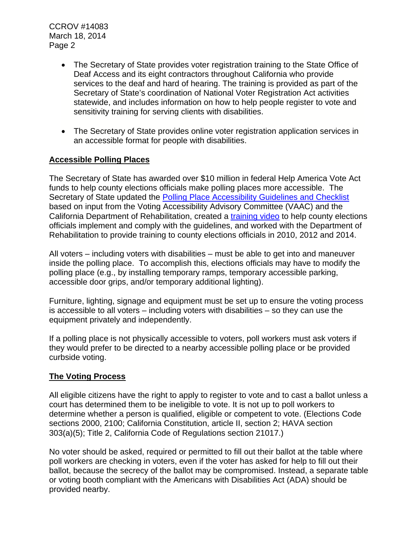CCROV #14083 March 18, 2014 Page 2

- The Secretary of State provides voter registration training to the State Office of Deaf Access and its eight contractors throughout California who provide services to the deaf and hard of hearing. The training is provided as part of the Secretary of State's coordination of National Voter Registration Act activities statewide, and includes information on how to help people register to vote and sensitivity training for serving clients with disabilities.
- The Secretary of State provides online voter registration application services in an accessible format for people with disabilities.

# **Accessible Polling Places**

The Secretary of State has awarded over \$10 million in federal Help America Vote Act funds to help county elections officials make polling places more accessible. The Secretary of State updated the [Polling Place Accessibility Guidelines and Checklist](http://www.sos.ca.gov/elections/additional-elections-information/publications-and-resources/polling-place-accessibility-guidelines/)  based on input from the Voting Accessibility Advisory Committee (VAAC) and the California Department of Rehabilitation, created a [training video](http://www.sos.ca.gov/elections/additional-elections-information/publications-and-resources/polling-place-accessibility-guidelines/polling-place-accessibility-surveyor-training-video/) to help county elections officials implement and comply with the guidelines, and worked with the Department of Rehabilitation to provide training to county elections officials in 2010, 2012 and 2014.

All voters – including voters with disabilities – must be able to get into and maneuver inside the polling place. To accomplish this, elections officials may have to modify the polling place (e.g., by installing temporary ramps, temporary accessible parking, accessible door grips, and/or temporary additional lighting).

Furniture, lighting, signage and equipment must be set up to ensure the voting process is accessible to all voters – including voters with disabilities – so they can use the equipment privately and independently.

If a polling place is not physically accessible to voters, poll workers must ask voters if they would prefer to be directed to a nearby accessible polling place or be provided curbside voting.

# **The Voting Process**

All eligible citizens have the right to apply to register to vote and to cast a ballot unless a court has determined them to be ineligible to vote. It is not up to poll workers to determine whether a person is qualified, eligible or competent to vote. (Elections Code sections 2000, 2100; California Constitution, article II, section 2; HAVA section 303(a)(5); Title 2, California Code of Regulations section 21017.)

No voter should be asked, required or permitted to fill out their ballot at the table where poll workers are checking in voters, even if the voter has asked for help to fill out their ballot, because the secrecy of the ballot may be compromised. Instead, a separate table or voting booth compliant with the Americans with Disabilities Act (ADA) should be provided nearby.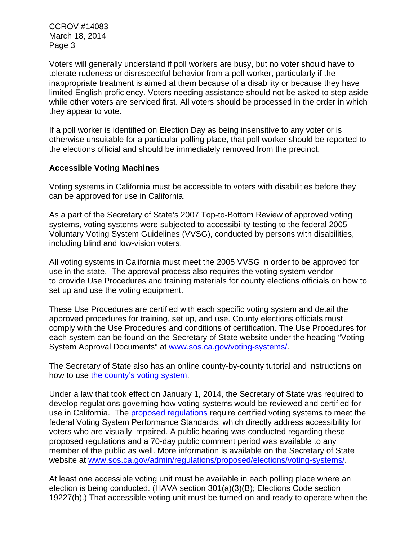CCROV #14083 March 18, 2014 Page 3

Voters will generally understand if poll workers are busy, but no voter should have to tolerate rudeness or disrespectful behavior from a poll worker, particularly if the inappropriate treatment is aimed at them because of a disability or because they have limited English proficiency. Voters needing assistance should not be asked to step aside while other voters are serviced first. All voters should be processed in the order in which they appear to vote.

If a poll worker is identified on Election Day as being insensitive to any voter or is otherwise unsuitable for a particular polling place, that poll worker should be reported to the elections official and should be immediately removed from the precinct.

## **Accessible Voting Machines**

Voting systems in California must be accessible to voters with disabilities before they can be approved for use in California.

As a part of the Secretary of State's 2007 Top-to-Bottom Review of approved voting systems, voting systems were subjected to accessibility testing to the federal 2005 Voluntary Voting System Guidelines (VVSG), conducted by persons with disabilities, including blind and low-vision voters.

All voting systems in California must meet the 2005 VVSG in order to be approved for use in the state. The approval process also requires the voting system vendor to provide Use Procedures and training materials for county elections officials on how to set up and use the voting equipment.

These Use Procedures are certified with each specific voting system and detail the approved procedures for training, set up, and use. County elections officials must comply with the Use Procedures and conditions of certification. The Use Procedures for each system can be found on the Secretary of State website under the heading "Voting System Approval Documents" at www.sos.ca.gov/voting-systems/.

The Secretary of State also has an online county-by-county tutorial and instructions on how to use [the county's voting system.](https://www.sos.ca.gov/voting-systems/oversight/county-vsys/ca-map-counties3.htm)

Under a law that took effect on January 1, 2014, the Secretary of State was required to develop regulations governing how voting systems would be reviewed and certified for use in California. The **proposed regulations** require certified voting systems to meet the federal Voting System Performance Standards, which directly address accessibility for voters who are visually impaired. A public hearing was conducted regarding these proposed regulations and a 70-day public comment period was available to any member of the public as well. More information is available on the Secretary of State website at www.sos.ca.gov/admin/regulations/proposed/elections/voting-systems/.

At least one accessible voting unit must be available in each polling place where an election is being conducted. (HAVA section 301(a)(3)(B); Elections Code section 19227(b).) That accessible voting unit must be turned on and ready to operate when the